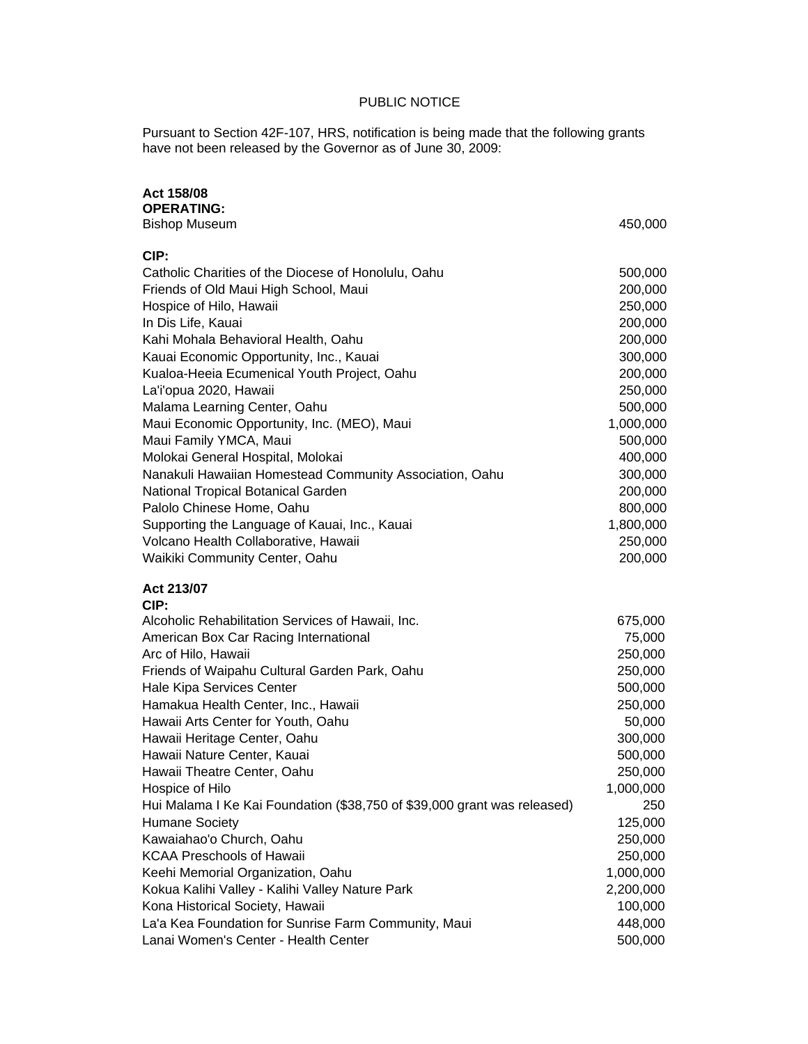## PUBLIC NOTICE

Pursuant to Section 42F-107, HRS, notification is being made that the following grants have not been released by the Governor as of June 30, 2009:

## **Act 158/08**

| <b>OPERATING:</b>                                                                            |                    |
|----------------------------------------------------------------------------------------------|--------------------|
| <b>Bishop Museum</b>                                                                         | 450,000            |
| CIP:                                                                                         |                    |
| Catholic Charities of the Diocese of Honolulu, Oahu                                          | 500,000            |
| Friends of Old Maui High School, Maui                                                        | 200,000            |
| Hospice of Hilo, Hawaii                                                                      | 250,000            |
| In Dis Life, Kauai                                                                           | 200,000            |
| Kahi Mohala Behavioral Health, Oahu                                                          | 200,000            |
| Kauai Economic Opportunity, Inc., Kauai                                                      | 300,000            |
| Kualoa-Heeia Ecumenical Youth Project, Oahu                                                  | 200,000            |
| La'i'opua 2020, Hawaii                                                                       | 250,000            |
| Malama Learning Center, Oahu                                                                 | 500,000            |
| Maui Economic Opportunity, Inc. (MEO), Maui                                                  | 1,000,000          |
| Maui Family YMCA, Maui                                                                       | 500,000            |
| Molokai General Hospital, Molokai                                                            | 400,000            |
| Nanakuli Hawaiian Homestead Community Association, Oahu                                      | 300,000            |
| National Tropical Botanical Garden                                                           | 200,000            |
| Palolo Chinese Home, Oahu                                                                    | 800,000            |
| Supporting the Language of Kauai, Inc., Kauai                                                | 1,800,000          |
| Volcano Health Collaborative, Hawaii                                                         | 250,000            |
| Waikiki Community Center, Oahu                                                               | 200,000            |
| Act 213/07                                                                                   |                    |
| CIP:                                                                                         |                    |
| Alcoholic Rehabilitation Services of Hawaii, Inc.                                            | 675,000            |
| American Box Car Racing International                                                        | 75,000             |
|                                                                                              |                    |
| Arc of Hilo, Hawaii                                                                          | 250,000            |
| Friends of Waipahu Cultural Garden Park, Oahu                                                | 250,000            |
| Hale Kipa Services Center                                                                    | 500,000            |
| Hamakua Health Center, Inc., Hawaii                                                          | 250,000            |
| Hawaii Arts Center for Youth, Oahu                                                           | 50,000             |
| Hawaii Heritage Center, Oahu                                                                 | 300,000            |
| Hawaii Nature Center, Kauai                                                                  | 500,000            |
| Hawaii Theatre Center, Oahu                                                                  | 250,000            |
| Hospice of Hilo                                                                              | 1,000,000          |
| Hui Malama I Ke Kai Foundation (\$38,750 of \$39,000 grant was released)                     | 250                |
| <b>Humane Society</b>                                                                        | 125,000            |
| Kawaiahao'o Church, Oahu                                                                     | 250,000            |
| <b>KCAA Preschools of Hawaii</b>                                                             | 250,000            |
| Keehi Memorial Organization, Oahu                                                            | 1,000,000          |
| Kokua Kalihi Valley - Kalihi Valley Nature Park                                              | 2,200,000          |
| Kona Historical Society, Hawaii                                                              | 100,000            |
| La'a Kea Foundation for Sunrise Farm Community, Maui<br>Lanai Women's Center - Health Center | 448,000<br>500,000 |